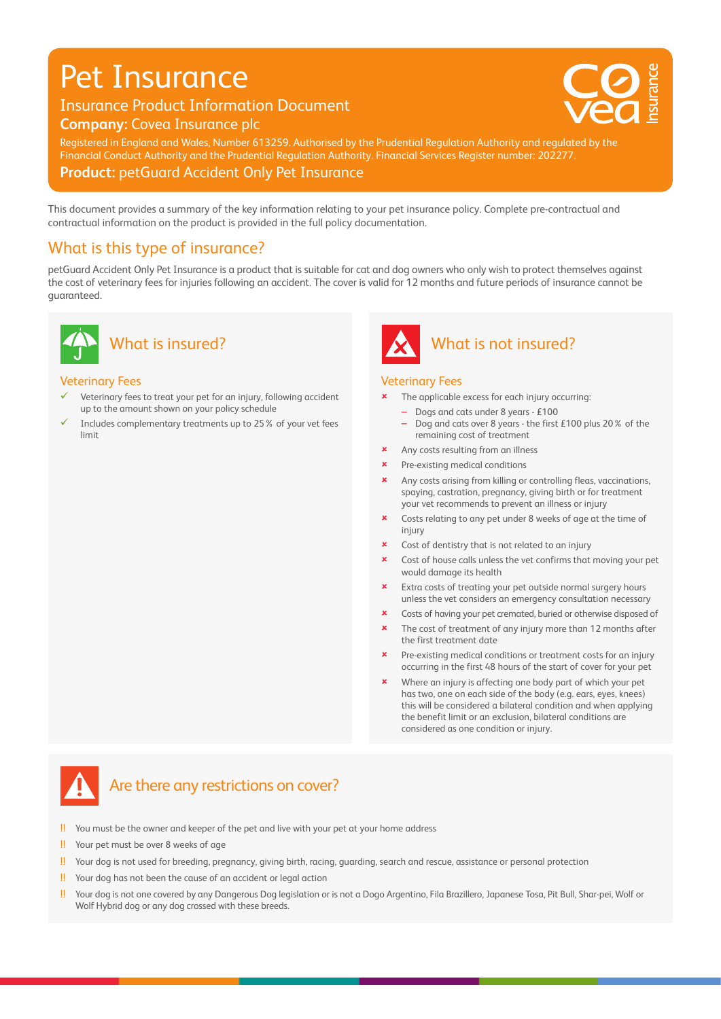# Pet Insurance

# Insurance Product Information Document



20 0 0 75 V : 0 75 V : 0 75 V : 0 75 V : 0 75 V : 0 75 V : 0 75 V : 0 75 V : 0 75 V : 0 75 V : 0 75 V : 0 75 V

alidation DA/DC

**Company:** Covea Insurance plc Registered in England and Wales, Number 613259. Authorised by the Prudential Regulation Authority and regulated by the

Financial Conduct Authority and the Prudential Regulation Authority. Financial Services Register number: 202277.

**Product:** petGuard Accident Only Pet Insurance

**COVEA**  This document provides a summary of the key information relating to your pet insurance policy. Complete pre-contractual and contractual information on the product is provided in the full policy documentation.

#### What is this type of insurance?

petGuard Accident Only Pet Insurance is a product that is suitable for cat and dog owners who only wish to protect themselves against the cost of veterinary fees for injuries following an accident. The cover is valid for 12 months and future periods of insurance cannot be guaranteed.



#### Veterinary Fees

- Veterinary fees to treat your pet for an injury, following accident up to the amount shown on your policy schedule
- Includes complementary treatments up to 25% of your vet fees limit



#### Veterinary Fees

- **\*** The applicable excess for each injury occurring:
	- Dogs and cats under 8 years £100
	- Dog and cats over 8 years the first £100 plus 20% of the remaining cost of treatment
- **x** Any costs resulting from an illness
- \* Pre-existing medical conditions
- Any costs arising from killing or controlling fleas, vaccinations, spaying, castration, pregnancy, giving birth or for treatment your vet recommends to prevent an illness or injury
- 8 Costs relating to any pet under 8 weeks of age at the time of injury
- **\*** Cost of dentistry that is not related to an injury
- 8 Cost of house calls unless the vet confirms that moving your pet would damage its health
- **\*** Extra costs of treating your pet outside normal surgery hours unless the vet considers an emergency consultation necessary
- **x** Costs of having your pet cremated, buried or otherwise disposed of
- The cost of treatment of any injury more than 12 months after the first treatment date
- Pre-existing medical conditions or treatment costs for an injury occurring in the first 48 hours of the start of cover for your pet
- 8 Where an injury is affecting one body part of which your pet has two, one on each side of the body (e.g. ears, eyes, knees) this will be considered a bilateral condition and when applying the benefit limit or an exclusion, bilateral conditions are considered as one condition or injury.

## Are there any restrictions on cover?

- !! You must be the owner and keeper of the pet and live with your pet at your home address
- !! Your pet must be over 8 weeks of age
- !! Your dog is not used for breeding, pregnancy, giving birth, racing, guarding, search and rescue, assistance or personal protection
- !! Your dog has not been the cause of an accident or legal action
- !! Your dog is not one covered by any Dangerous Dog legislation or is not a Dogo Argentino, Fila Brazillero, Japanese Tosa, Pit Bull, Shar-pei, Wolf or Wolf Hybrid dog or any dog crossed with these breeds.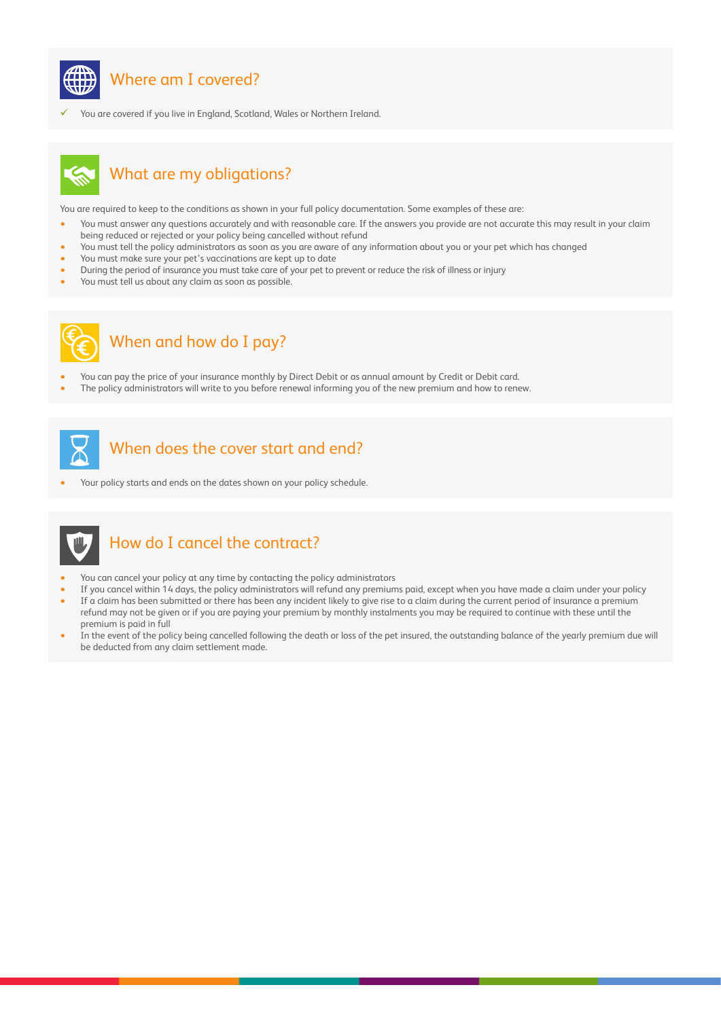

#### Where am I covered?

9 You are covered if you live in England, Scotland, Wales or Northern Ireland.



### What are my obligations?

You are required to keep to the conditions as shown in your full policy documentation. Some examples of these are:

- You must answer any questions accurately and with reasonable care. If the answers you provide are not accurate this may result in your claim being reduced or rejected or your policy being cancelled without refund
- You must tell the policy administrators as soon as you are aware of any information about you or your pet which has changed
- You must make sure your pet's vaccinations are kept up to date
- During the period of insurance you must take care of your pet to prevent or reduce the risk of illness or injury
- You must tell us about any claim as soon as possible.



#### When and how do I pay?

- You can pay the price of your insurance monthly by Direct Debit or as annual amount by Credit or Debit card.
- The policy administrators will write to you before renewal informing you of the new premium and how to renew.



#### When does the cover start and end?

• Your policy starts and ends on the dates shown on your policy schedule.



### How do I cancel the contract?

- You can cancel your policy at any time by contacting the policy administrators
- If you cancel within 14 days, the policy administrators will refund any premiums paid, except when you have made a claim under your policy
- If a claim has been submitted or there has been any incident likely to give rise to a claim during the current period of insurance a premium refund may not be given or if you are paying your premium by monthly instalments you may be required to continue with these until the premium is paid in full
- In the event of the policy being cancelled following the death or loss of the pet insured, the outstanding balance of the yearly premium due will be deducted from any claim settlement made.